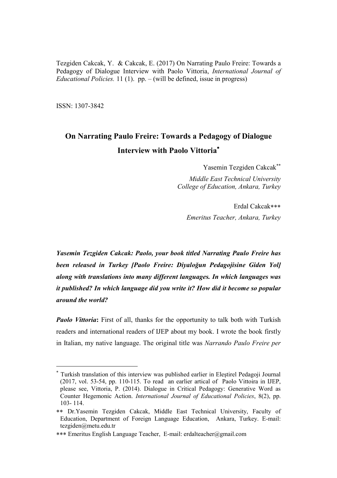Tezgiden Cakcak, Y. & Cakcak, E. (2017) On Narrating Paulo Freire: Towards a Pedagogy of Dialogue Interview with Paolo Vittoria, *International Journal of Educational Policies.* 11 (1). pp. – (will be defined, issue in progress)

ISSN: 1307-3842

 $\overline{a}$ 

# **On Narrating Paulo Freire: Towards a Pedagogy of Dialogue Interview with Paolo Vittoria**

Yasemin Tezgiden Cakcak

*Middle East Technical University College of Education, Ankara, Turkey*

Erdal Cakcak *Emeritus Teacher, Ankara, Turkey*

*Yasemin Tezgiden Cakcak: Paolo, your book titled Narrating Paulo Freire has been released in Turkey [Paolo Freire: Diyaloğun Pedagojisine Giden Yol] along with translations into many different languages. In which languages was it published? In which language did you write it? How did it become so popular around the world?*

*Paolo Vittoria*: First of all, thanks for the opportunity to talk both with Turkish readers and international readers of IJEP about my book. I wrote the book firstly in Italian, my native language. The original title was *Narrando Paulo Freire per*

<sup>\*</sup> Turkish translation of this interview was published earlier in Eleştirel Pedagoji Journal (2017, vol. 53-54, pp. 110-115. To read an earlier artical of Paolo Vittoira in IJEP, please see, Vittoria, P. (2014). Dialogue in Critical Pedagogy: Generative Word as Counter Hegemonic Action. *International Journal of Educational Policies*, 8(2), pp. 103- 114.

Dr.Yasemin Tezgiden Cakcak, Middle East Technical University, Faculty of Education, Department of Foreign Language Education, Ankara, Turkey. E-mail: tezgiden@metu.edu.tr

Emeritus English Language Teacher, E-mail: erdalteacher@gmail.com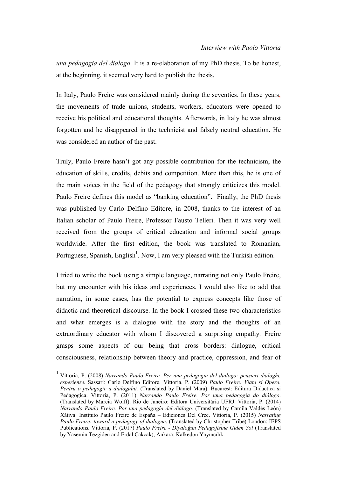*una pedagogia del dialogo*. It is a re-elaboration of my PhD thesis. To be honest, at the beginning, it seemed very hard to publish the thesis.

In Italy, Paulo Freire was considered mainly during the seventies. In these years, the movements of trade unions, students, workers, educators were opened to receive his political and educational thoughts. Afterwards, in Italy he was almost forgotten and he disappeared in the technicist and falsely neutral education. He was considered an author of the past.

Truly, Paulo Freire hasn't got any possible contribution for the technicism, the education of skills, credits, debits and competition. More than this, he is one of the main voices in the field of the pedagogy that strongly criticizes this model. Paulo Freire defines this model as "banking education". Finally, the PhD thesis was published by Carlo Delfino Editore, in 2008, thanks to the interest of an Italian scholar of Paulo Freire, Professor Fausto Telleri. Then it was very well received from the groups of critical education and informal social groups worldwide. After the first edition, the book was translated to Romanian, Portuguese, Spanish, English<sup>1</sup>. Now, I am very pleased with the Turkish edition.

I tried to write the book using a simple language, narrating not only Paulo Freire, but my encounter with his ideas and experiences. I would also like to add that narration, in some cases, has the potential to express concepts like those of didactic and theoretical discourse. In the book I crossed these two characteristics and what emerges is a dialogue with the story and the thoughts of an extraordinary educator with whom I discovered a surprising empathy. Freire grasps some aspects of our being that cross borders: dialogue, critical consciousness, relationship between theory and practice, oppression, and fear of

 $\overline{a}$ 

<sup>1</sup> Vittoria, P. (2008) *Narrando Paulo Freire. Per una pedagogia del dialogo: pensieri dialoghi, esperienze.* Sassari: Carlo Delfino Editore. Vittoria, P. (2009) *Paulo Freire: Viata si Opera. Pentru o pedagogie a dialogului.* (Translated by Daniel Mara). Bucarest: Editura Didactica si Pedagogica. Vittoria, P. (2011) *Narrando Paulo Freire. Por uma pedagogia do diálogo*. (Translated by Marcia Wolff). Rio de Janeiro: Editora Universitária UFRJ. Vittoria, P. (2014) *Narrando Paulo Freire. Por una pedagogía del diálogo.* (Translated by Camila Valdés León) Xátiva: Instituto Paulo Freire de España – Ediciones Del Crec. Vittoria, P. (2015) *Narrating Paulo Freire: toward a pedagogy of dialogue*. (Translated by Christopher Tribe) London: IEPS Publications. Vittoria, P. (2017) *Paulo Freire* - *Diyaloğun Pedagojisine Giden Yol* (Translated by Yasemin Tezgiden and Erdal Cakcak), Ankara: Kalkedon Yayıncılık.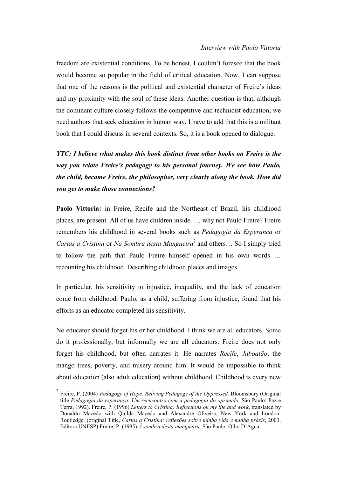freedom are existential conditions. To be honest, I couldn't foresee that the book would become so popular in the field of critical education. Now, I can suppose that one of the reasons is the political and existential character of Freire's ideas and my proximity with the soul of these ideas. Another question is that, although the dominant culture closely follows the competitive and technicist education, we need authors that seek education in human way. I have to add that this is a militant book that I could discuss in several contexts. So, it is a book opened to dialogue.

*YTC: I believe what makes this book distinct from other books on Freire is the way you relate Freire's pedagogy to his personal journey. We see how Paulo, the child, became Freire, the philosopher, very clearly along the book. How did you get to make those connections?*

**Paolo Vittoria:** in Freire, Recife and the Northeast of Brazil, his childhood places, are present. All of us have children inside. … why not Paulo Freire? Freire remembers his childhood in several books such as *Pedagogia da Esperanca* or *Cartas a Cristina* or *Na Sombra desta Mangueira*<sup>2</sup> and others… So I simply tried to follow the path that Paulo Freire himself opened in his own words … recounting his childhood. Describing childhood places and images.

In particular, his sensitivity to injustice, inequality, and the lack of education come from childhood. Paulo, as a child, suffering from injustice, found that his efforts as an educator completed his sensitivity.

No educator should forget his or her childhood. I think we are all educators. Some do it professionally, but informally we are all educators. Freire does not only forget his childhood, but often narrates it. He narrates *Recife*, *Jaboatão*, the mango trees, poverty, and misery around him. It would be impossible to think about education (also adult education) without childhood. Childhood is every new

 $\overline{a}$ 

<sup>2</sup> Freire, P. (2004) *Pedagogy of Hope. Reliving Pedagogy of the Oppressed,* Bloomsbury (Original title *Pedagogia da esperança. Um reencontro com a pedagogia do oprimido*. São Paulo: Paz e Terra, 1992). Freire, P. (1996) *Letters to Cristina: Reflections on my life and work*, translated by Donaldo Macedo with Quilda Macedo and Alexandre Oliveira. New York and London: Routledge. (original Title, *Cartas a [Cristina:](http://books.google.com/books?id=OgHt3qs0ajEC) reflexões sobre minha vida e minha práxis*, 2003, Editora UNESP) Freire, P. (1995) *À sombra desta mangueira*. São Paulo: Olho D'Água.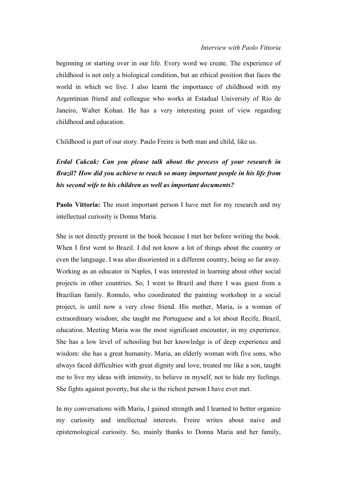beginning or starting over in our life. Every word we create. The experience of childhood is not only a biological condition, but an ethical position that faces the world in which we live. I also learnt the importance of childhood with my Argentinian friend and colleague who works at Estadual University of Rio de Janeiro, Walter Kohan. He has a very interesting point of view regarding childhood and education.

Childhood is part of our story. Paulo Freire is both man and child, like us.

### *Erdal Cakcak: Can you please talk about the process of your research in Brazil? How did you achieve to reach so many important people in his life from his second wife to his children as well as important documents?*

**Paolo Vittoria:** The most important person I have met for my research and my intellectual curiosity is Donna Maria.

She is not directly present in the book because I met her before writing the book. When I first went to Brazil, I did not know a lot of things about the country or even the language. I was also disoriented in a different country, being so far away. Working as an educator in Naples, I was interested in learning about other social projects in other countries. So, I went to Brazil and there I was guest from a Brazilian family. Romulo, who coordinated the painting workshop in a social project, is until now a very close friend. His mother, Maria, is a woman of extraordinary wisdom; she taught me Portuguese and a lot about Recife, Brazil, education. Meeting Maria was the most significant encounter, in my experience. She has a low level of schooling but her knowledge is of deep experience and wisdom: she has a great humanity. Maria, an elderly woman with five sons, who always faced difficulties with great dignity and love, treated me like a son, taught me to live my ideas with intensity, to believe in myself, not to hide my feelings. She fights against poverty, but she is the richest person I have ever met.

In my conversations with Maria, I gained strength and I learned to better organize my curiosity and intellectual interests. Freire writes about naive and epistemological curiosity. So, mainly thanks to Donna Maria and her family,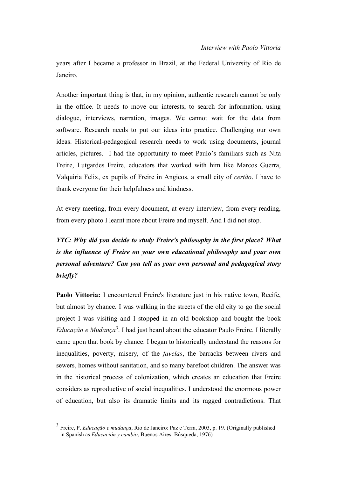years after I became a professor in Brazil, at the Federal University of Rio de Janeiro.

Another important thing is that, in my opinion, authentic research cannot be only in the office. It needs to move our interests, to search for information, using dialogue, interviews, narration, images. We cannot wait for the data from software. Research needs to put our ideas into practice. Challenging our own ideas. Historical-pedagogical research needs to work using documents, journal articles, pictures. I had the opportunity to meet Paulo's familiars such as Nita Freire, Lutgardes Freire, educators that worked with him like Marcos Guerra, Valquiria Felix, ex pupils of Freire in Angicos, a small city of *certão*. I have to thank everyone for their helpfulness and kindness.

At every meeting, from every document, at every interview, from every reading, from every photo I learnt more about Freire and myself. And I did not stop.

## *YTC: Why did you decide to study Freire's philosophy in the first place? What is the influence of Freire on your own educational philosophy and your own personal adventure? Can you tell us your own personal and pedagogical story briefly?*

**Paolo Vittoria:** I encountered Freire's literature just in his native town, Recife, but almost by chance. I was walking in the streets of the old city to go the social project I was visiting and I stopped in an old bookshop and bought the book Educação e Mudança<sup>3</sup>. I had just heard about the educator Paulo Freire. I literally came upon that book by chance. I began to historically understand the reasons for inequalities, poverty, misery, of the *favelas*, the barracks between rivers and sewers, homes without sanitation, and so many barefoot children. The answer was in the historical process of colonization, which creates an education that Freire considers as reproductive of social inequalities. I understood the enormous power of education, but also its dramatic limits and its ragged contradictions. That

 $\overline{a}$ 

<sup>3</sup> Freire, P. *Educação e mudança*, Rio de Janeiro: Paz e Terra, 2003, p. 19. (Originally published in Spanish as *Educación y cambio*, Buenos Aires: Búsqueda, 1976)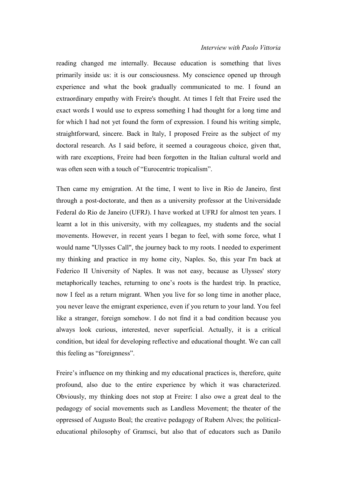#### *Interview with Paolo Vittoria*

reading changed me internally. Because education is something that lives primarily inside us: it is our consciousness. My conscience opened up through experience and what the book gradually communicated to me. I found an extraordinary empathy with Freire's thought. At times I felt that Freire used the exact words I would use to express something I had thought for a long time and for which I had not yet found the form of expression. I found his writing simple, straightforward, sincere. Back in Italy, I proposed Freire as the subject of my doctoral research. As I said before, it seemed a courageous choice, given that, with rare exceptions, Freire had been forgotten in the Italian cultural world and was often seen with a touch of "Eurocentric tropicalism".

Then came my emigration. At the time, I went to live in Rio de Janeiro, first through a post-doctorate, and then as a university professor at the Universidade Federal do Rio de Janeiro (UFRJ). I have worked at UFRJ for almost ten years. I learnt a lot in this university, with my colleagues, my students and the social movements. However, in recent years I began to feel, with some force, what I would name "Ulysses Call", the journey back to my roots. I needed to experiment my thinking and practice in my home city, Naples. So, this year I'm back at Federico II University of Naples. It was not easy, because as Ulysses' story metaphorically teaches, returning to one's roots is the hardest trip. In practice, now I feel as a return migrant. When you live for so long time in another place, you never leave the emigrant experience, even if you return to your land. You feel like a stranger, foreign somehow. I do not find it a bad condition because you always look curious, interested, never superficial. Actually, it is a critical condition, but ideal for developing reflective and educational thought. We can call this feeling as "foreignness".

Freire's influence on my thinking and my educational practices is, therefore, quite profound, also due to the entire experience by which it was characterized. Obviously, my thinking does not stop at Freire: I also owe a great deal to the pedagogy of social movements such as Landless Movement; the theater of the oppressed of Augusto Boal; the creative pedagogy of Rubem Alves; the politicaleducational philosophy of Gramsci, but also that of educators such as Danilo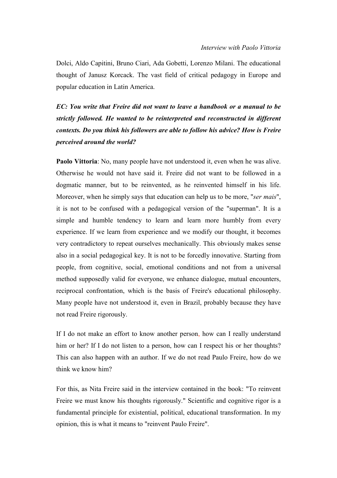Dolci, Aldo Capitini, Bruno Ciari, Ada Gobetti, Lorenzo Milani. The educational thought of Janusz Korcack. The vast field of critical pedagogy in Europe and popular education in Latin America.

*EC: You write that Freire did not want to leave a handbook or a manual to be strictly followed. He wanted to be reinterpreted and reconstructed in different contexts. Do you think his followers are able to follow his advice? How is Freire perceived around the world?*

**Paolo Vittoria**: No, many people have not understood it, even when he was alive. Otherwise he would not have said it. Freire did not want to be followed in a dogmatic manner, but to be reinvented, as he reinvented himself in his life. Moreover, when he simply says that education can help us to be more, "*ser mais*", it is not to be confused with a pedagogical version of the "superman". It is a simple and humble tendency to learn and learn more humbly from every experience. If we learn from experience and we modify our thought, it becomes very contradictory to repeat ourselves mechanically. This obviously makes sense also in a social pedagogical key. It is not to be forcedly innovative. Starting from people, from cognitive, social, emotional conditions and not from a universal method supposedly valid for everyone, we enhance dialogue, mutual encounters, reciprocal confrontation, which is the basis of Freire's educational philosophy. Many people have not understood it, even in Brazil, probably because they have not read Freire rigorously.

If I do not make an effort to know another person, how can I really understand him or her? If I do not listen to a person, how can I respect his or her thoughts? This can also happen with an author. If we do not read Paulo Freire, how do we think we know him?

For this, as Nita Freire said in the interview contained in the book: "To reinvent Freire we must know his thoughts rigorously." Scientific and cognitive rigor is a fundamental principle for existential, political, educational transformation. In my opinion, this is what it means to "reinvent Paulo Freire".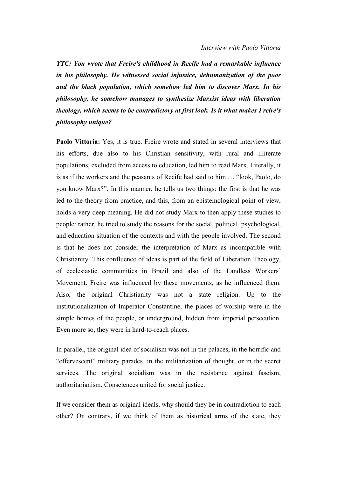*YTC: You wrote that Freire's childhood in Recife had a remarkable influence in his philosophy. He witnessed social injustice, dehumanization of the poor and the black population, which somehow led him to discover Marx. In his philosophy, he somehow manages to synthesize Marxist ideas with liberation theology, which seems to be contradictory at first look. Is it what makes Freire's philosophy unique?*

**Paolo Vittoria:** Yes, it is true. Freire wrote and stated in several interviews that his efforts, due also to his Christian sensitivity, with rural and illiterate populations, excluded from access to education, led him to read Marx. Literally, it is as if the workers and the peasants of Recife had said to him … "look, Paolo, do you know Marx?". In this manner, he tells us two things: the first is that he was led to the theory from practice, and this, from an epistemological point of view, holds a very deep meaning. He did not study Marx to then apply these studies to people: rather, he tried to study the reasons for the social, political, psychological, and education situation of the contexts and with the people involved. The second is that he does not consider the interpretation of Marx as incompatible with Christianity. This confluence of ideas is part of the field of Liberation Theology, of ecclesiastic communities in Brazil and also of the Landless Workers' Movement. Freire was influenced by these movements, as he influenced them. Also, the original Christianity was not a state religion. Up to the institutionalization of Imperator Constantine, the places of worship were in the simple homes of the people, or underground, hidden from imperial persecution. Even more so, they were in hard-to-reach places.

In parallel, the original idea of socialism was not in the palaces, in the horrific and "effervescent" military parades, in the militarization of thought, or in the secret services. The original socialism was in the resistance against fascism, authoritarianism. Consciences united for social justice.

If we consider them as original ideals, why should they be in contradiction to each other? On contrary, if we think of them as historical arms of the state, they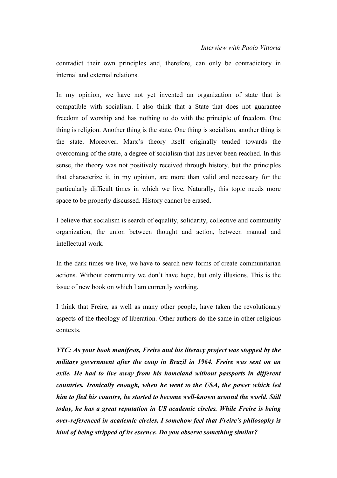contradict their own principles and, therefore, can only be contradictory in internal and external relations.

In my opinion, we have not yet invented an organization of state that is compatible with socialism. I also think that a State that does not guarantee freedom of worship and has nothing to do with the principle of freedom. One thing is religion. Another thing is the state. One thing is socialism, another thing is the state. Moreover, Marx's theory itself originally tended towards the overcoming of the state, a degree of socialism that has never been reached. In this sense, the theory was not positively received through history, but the principles that characterize it, in my opinion, are more than valid and necessary for the particularly difficult times in which we live. Naturally, this topic needs more space to be properly discussed. History cannot be erased.

I believe that socialism is search of equality, solidarity, collective and community organization, the union between thought and action, between manual and intellectual work.

In the dark times we live, we have to search new forms of create communitarian actions. Without community we don't have hope, but only illusions. This is the issue of new book on which I am currently working.

I think that Freire, as well as many other people, have taken the revolutionary aspects of the theology of liberation. Other authors do the same in other religious contexts.

*YTC: As your book manifests, Freire and his literacy project was stopped by the military government after the coup in Brazil in 1964. Freire was sent on an exile. He had to live away from his homeland without passports in different countries. Ironically enough, when he went to the USA, the power which led him to fled his country, he started to become well-known around the world. Still today, he has a great reputation in US academic circles. While Freire is being over-referenced in academic circles, I somehow feel that Freire's philosophy is kind of being stripped of its essence. Do you observe something similar?*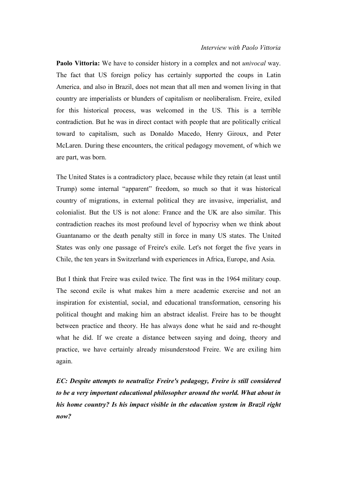**Paolo Vittoria:** We have to consider history in a complex and not *univocal* way. The fact that US foreign policy has certainly supported the coups in Latin America, and also in Brazil, does not mean that all men and women living in that country are imperialists or blunders of capitalism or neoliberalism. Freire, exiled for this historical process, was welcomed in the US. This is a terrible contradiction. But he was in direct contact with people that are politically critical toward to capitalism, such as Donaldo Macedo, Henry Giroux, and Peter McLaren. During these encounters, the critical pedagogy movement, of which we are part, was born.

The United States is a contradictory place, because while they retain (at least until Trump) some internal "apparent" freedom, so much so that it was historical country of migrations, in external political they are invasive, imperialist, and colonialist. But the US is not alone: France and the UK are also similar. This contradiction reaches its most profound level of hypocrisy when we think about Guantanamo or the death penalty still in force in many US states. The United States was only one passage of Freire's exile. Let's not forget the five years in Chile, the ten years in Switzerland with experiences in Africa, Europe, and Asia.

But I think that Freire was exiled twice. The first was in the 1964 military coup. The second exile is what makes him a mere academic exercise and not an inspiration for existential, social, and educational transformation, censoring his political thought and making him an abstract idealist. Freire has to be thought between practice and theory. He has always done what he said and re-thought what he did. If we create a distance between saying and doing, theory and practice, we have certainly already misunderstood Freire. We are exiling him again.

*EC: Despite attempts to neutralize Freire's pedagogy, Freire is still considered to be a very important educational philosopher around the world. What about in his home country? Is his impact visible in the education system in Brazil right now?*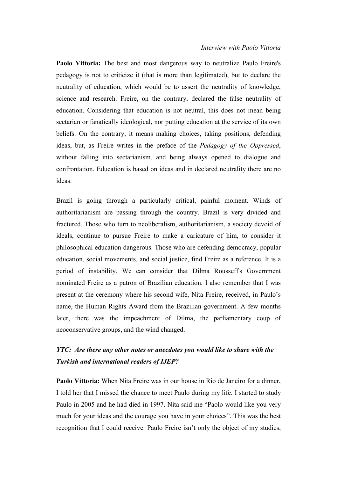**Paolo Vittoria:** The best and most dangerous way to neutralize Paulo Freire's pedagogy is not to criticize it (that is more than legitimated), but to declare the neutrality of education, which would be to assert the neutrality of knowledge, science and research. Freire, on the contrary, declared the false neutrality of education. Considering that education is not neutral, this does not mean being sectarian or fanatically ideological, nor putting education at the service of its own beliefs. On the contrary, it means making choices, taking positions, defending ideas, but, as Freire writes in the preface of the *Pedagogy of the Oppressed*, without falling into sectarianism, and being always opened to dialogue and confrontation. Education is based on ideas and in declared neutrality there are no ideas.

Brazil is going through a particularly critical, painful moment. Winds of authoritarianism are passing through the country. Brazil is very divided and fractured. Those who turn to neoliberalism, authoritarianism, a society devoid of ideals, continue to pursue Freire to make a caricature of him, to consider it philosophical education dangerous. Those who are defending democracy, popular education, social movements, and social justice, find Freire as a reference. It is a period of instability. We can consider that Dilma Rousseff's Government nominated Freire as a patron of Brazilian education. I also remember that I was present at the ceremony where his second wife, Nita Freire, received, in Paulo's name, the Human Rights Award from the Brazilian government. A few months later, there was the impeachment of Dilma, the parliamentary coup of neoconservative groups, and the wind changed.

#### *YTC: Are there any other notes or anecdotes you would like to share with the Turkish and international readers of IJEP?*

**Paolo Vittoria:** When Nita Freire was in our house in Rio de Janeiro for a dinner, I told her that I missed the chance to meet Paulo during my life. I started to study Paulo in 2005 and he had died in 1997. Nita said me "Paolo would like you very much for your ideas and the courage you have in your choices". This was the best recognition that I could receive. Paulo Freire isn't only the object of my studies,